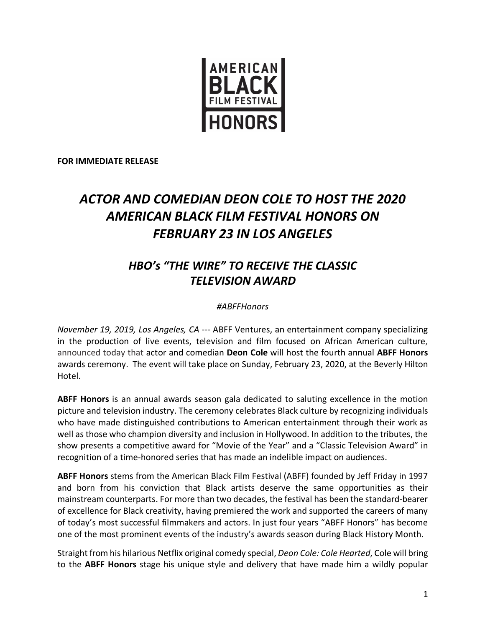

**FOR IMMEDIATE RELEASE**

## *ACTOR AND COMEDIAN DEON COLE TO HOST THE 2020 AMERICAN BLACK FILM FESTIVAL HONORS ON FEBRUARY 23 IN LOS ANGELES*

## *HBO's "THE WIRE" TO RECEIVE THE CLASSIC TELEVISION AWARD*

## *#ABFFHonors*

*November 19, 2019, Los Angeles, CA* --- ABFF Ventures, an entertainment company specializing in the production of live events, television and film focused on African American culture, announced today that actor and comedian **Deon Cole** will host the fourth annual **ABFF Honors** awards ceremony. The event will take place on Sunday, February 23, 2020, at the Beverly Hilton Hotel.

**ABFF Honors** is an annual awards season gala dedicated to saluting excellence in the motion picture and television industry. The ceremony celebrates Black culture by recognizing individuals who have made distinguished contributions to American entertainment through their work as well as those who champion diversity and inclusion in Hollywood. In addition to the tributes, the show presents a competitive award for "Movie of the Year" and a "Classic Television Award" in recognition of a time-honored series that has made an indelible impact on audiences.

**ABFF Honors** stems from the American Black Film Festival (ABFF) founded by Jeff Friday in 1997 and born from his conviction that Black artists deserve the same opportunities as their mainstream counterparts. For more than two decades, the festival has been the standard-bearer of excellence for Black creativity, having premiered the work and supported the careers of many of today's most successful filmmakers and actors. In just four years "ABFF Honors" has become one of the most prominent events of the industry's awards season during Black History Month.

Straight from his hilarious Netflix original comedy special, *Deon Cole: Cole Hearted*, Cole will bring to the **ABFF Honors** stage his unique style and delivery that have made him a wildly popular